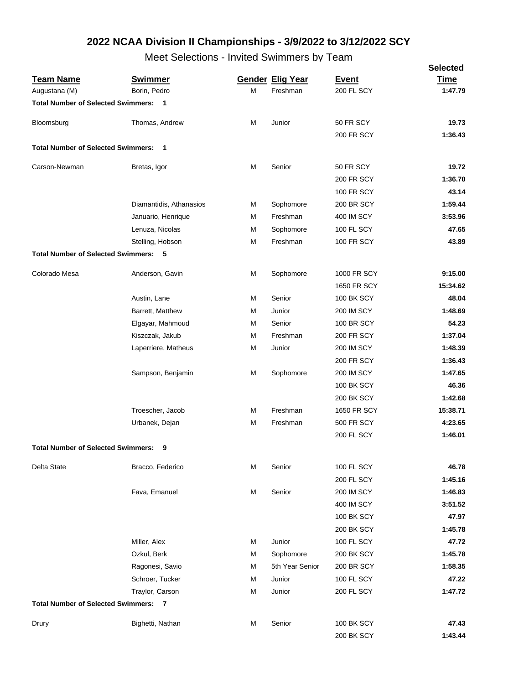|                                             |                         |   |                         |                    | <b>Selected</b> |
|---------------------------------------------|-------------------------|---|-------------------------|--------------------|-----------------|
| <b>Team Name</b>                            | <b>Swimmer</b>          |   | <b>Gender Elig Year</b> | <b>Event</b>       | <b>Time</b>     |
| Augustana (M)                               | Borin, Pedro            | М | Freshman                | 200 FL SCY         | 1:47.79         |
| <b>Total Number of Selected Swimmers: 1</b> |                         |   |                         |                    |                 |
| Bloomsburg                                  | Thomas, Andrew          | M | Junior                  | 50 FR SCY          | 19.73           |
|                                             |                         |   |                         | <b>200 FR SCY</b>  | 1:36.43         |
| <b>Total Number of Selected Swimmers: 1</b> |                         |   |                         |                    |                 |
| Carson-Newman                               | Bretas, Igor            | M | Senior                  | 50 FR SCY          | 19.72           |
|                                             |                         |   |                         | <b>200 FR SCY</b>  | 1:36.70         |
|                                             |                         |   |                         | <b>100 FR SCY</b>  | 43.14           |
|                                             | Diamantidis, Athanasios | М | Sophomore               | <b>200 BR SCY</b>  | 1:59.44         |
|                                             | Januario, Henrique      | M | Freshman                | <b>400 IM SCY</b>  | 3:53.96         |
|                                             | Lenuza, Nicolas         | М | Sophomore               | 100 FL SCY         | 47.65           |
|                                             | Stelling, Hobson        | М | Freshman                | <b>100 FR SCY</b>  | 43.89           |
| <b>Total Number of Selected Swimmers:</b>   | - 5                     |   |                         |                    |                 |
| Colorado Mesa                               | Anderson, Gavin         | М | Sophomore               | 1000 FR SCY        | 9:15.00         |
|                                             |                         |   |                         | 1650 FR SCY        | 15:34.62        |
|                                             | Austin, Lane            | М | Senior                  | <b>100 BK SCY</b>  | 48.04           |
|                                             | Barrett, Matthew        | M | Junior                  | <b>200 IM SCY</b>  | 1:48.69         |
|                                             | Elgayar, Mahmoud        | М | Senior                  | <b>100 BR SCY</b>  | 54.23           |
|                                             | Kiszczak, Jakub         | М | Freshman                | <b>200 FR SCY</b>  | 1:37.04         |
|                                             | Laperriere, Matheus     | M | Junior                  | <b>200 IM SCY</b>  | 1:48.39         |
|                                             |                         |   |                         | <b>200 FR SCY</b>  | 1:36.43         |
|                                             | Sampson, Benjamin       | M | Sophomore               | <b>200 IM SCY</b>  | 1:47.65         |
|                                             |                         |   |                         | <b>100 BK SCY</b>  | 46.36           |
|                                             |                         |   |                         | <b>200 BK SCY</b>  | 1:42.68         |
|                                             | Troescher, Jacob        | M | Freshman                | <b>1650 FR SCY</b> | 15:38.71        |
|                                             | Urbanek, Dejan          | М | Freshman                | <b>500 FR SCY</b>  | 4:23.65         |
|                                             |                         |   |                         | 200 FL SCY         | 1:46.01         |
| <b>Total Number of Selected Swimmers:</b>   |                         |   |                         |                    |                 |
| Delta State                                 | Bracco, Federico        | М | Senior                  | 100 FL SCY         | 46.78           |
|                                             |                         |   |                         | <b>200 FL SCY</b>  | 1:45.16         |
|                                             | Fava, Emanuel           | М | Senior                  | <b>200 IM SCY</b>  | 1:46.83         |
|                                             |                         |   |                         | <b>400 IM SCY</b>  | 3:51.52         |
|                                             |                         |   |                         | <b>100 BK SCY</b>  | 47.97           |
|                                             |                         |   |                         | <b>200 BK SCY</b>  | 1:45.78         |
|                                             | Miller, Alex            | М | Junior                  | 100 FL SCY         | 47.72           |
|                                             | Ozkul, Berk             | М | Sophomore               | <b>200 BK SCY</b>  | 1:45.78         |
|                                             | Ragonesi, Savio         | М | 5th Year Senior         | <b>200 BR SCY</b>  | 1:58.35         |
|                                             | Schroer, Tucker         | М | Junior                  | 100 FL SCY         | 47.22           |
|                                             | Traylor, Carson         | M | Junior                  | 200 FL SCY         | 1:47.72         |
| <b>Total Number of Selected Swimmers: 7</b> |                         |   |                         |                    |                 |
| Drury                                       | Bighetti, Nathan        | M | Senior                  | <b>100 BK SCY</b>  | 47.43           |
|                                             |                         |   |                         | 200 BK SCY         | 1:43.44         |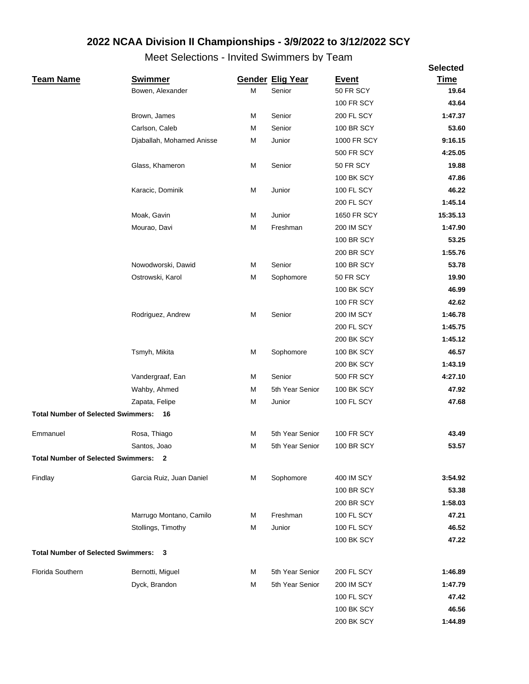|                                             |                           |   |                         |                   | <b>Selected</b> |
|---------------------------------------------|---------------------------|---|-------------------------|-------------------|-----------------|
| <b>Team Name</b>                            | <b>Swimmer</b>            |   | <b>Gender Elig Year</b> | <b>Event</b>      | <b>Time</b>     |
|                                             | Bowen, Alexander          | M | Senior                  | 50 FR SCY         | 19.64           |
|                                             |                           |   |                         | <b>100 FR SCY</b> | 43.64           |
|                                             | Brown, James              | M | Senior                  | 200 FL SCY        | 1:47.37         |
|                                             | Carlson, Caleb            | М | Senior                  | <b>100 BR SCY</b> | 53.60           |
|                                             | Djaballah, Mohamed Anisse | M | Junior                  | 1000 FR SCY       | 9:16.15         |
|                                             |                           |   |                         | <b>500 FR SCY</b> | 4:25.05         |
|                                             | Glass, Khameron           | M | Senior                  | 50 FR SCY         | 19.88           |
|                                             |                           |   |                         | <b>100 BK SCY</b> | 47.86           |
|                                             | Karacic, Dominik          | M | Junior                  | 100 FL SCY        | 46.22           |
|                                             |                           |   |                         | 200 FL SCY        | 1:45.14         |
|                                             | Moak, Gavin               | M | Junior                  | 1650 FR SCY       | 15:35.13        |
|                                             | Mourao, Davi              | M | Freshman                | <b>200 IM SCY</b> | 1:47.90         |
|                                             |                           |   |                         | <b>100 BR SCY</b> | 53.25           |
|                                             |                           |   |                         | 200 BR SCY        | 1:55.76         |
|                                             | Nowodworski, Dawid        | M | Senior                  | <b>100 BR SCY</b> | 53.78           |
|                                             | Ostrowski, Karol          | M | Sophomore               | 50 FR SCY         | 19.90           |
|                                             |                           |   |                         | <b>100 BK SCY</b> | 46.99           |
|                                             |                           |   |                         | <b>100 FR SCY</b> | 42.62           |
|                                             | Rodriguez, Andrew         | M | Senior                  | <b>200 IM SCY</b> | 1:46.78         |
|                                             |                           |   |                         | 200 FL SCY        | 1:45.75         |
|                                             |                           |   |                         | <b>200 BK SCY</b> | 1:45.12         |
|                                             | Tsmyh, Mikita             | M | Sophomore               | <b>100 BK SCY</b> | 46.57           |
|                                             |                           |   |                         | 200 BK SCY        | 1:43.19         |
|                                             | Vandergraaf, Ean          | M | Senior                  | 500 FR SCY        | 4:27.10         |
|                                             | Wahby, Ahmed              | M | 5th Year Senior         | <b>100 BK SCY</b> | 47.92           |
|                                             | Zapata, Felipe            | M | Junior                  | 100 FL SCY        | 47.68           |
| <b>Total Number of Selected Swimmers:</b>   | 16                        |   |                         |                   |                 |
| Emmanuel                                    | Rosa, Thiago              | М | 5th Year Senior         | <b>100 FR SCY</b> | 43.49           |
|                                             | Santos, Joao              | М | 5th Year Senior         | <b>100 BR SCY</b> | 53.57           |
| <b>Total Number of Selected Swimmers:</b>   | $\mathbf{2}$              |   |                         |                   |                 |
| Findlay                                     | Garcia Ruiz, Juan Daniel  | М | Sophomore               | 400 IM SCY        | 3:54.92         |
|                                             |                           |   |                         | <b>100 BR SCY</b> | 53.38           |
|                                             |                           |   |                         | <b>200 BR SCY</b> | 1:58.03         |
|                                             | Marrugo Montano, Camilo   | м | Freshman                | 100 FL SCY        | 47.21           |
|                                             | Stollings, Timothy        | М | Junior                  | 100 FL SCY        | 46.52           |
|                                             |                           |   |                         | <b>100 BK SCY</b> | 47.22           |
| <b>Total Number of Selected Swimmers: 3</b> |                           |   |                         |                   |                 |
| Florida Southern                            | Bernotti, Miguel          | М | 5th Year Senior         | 200 FL SCY        | 1:46.89         |
|                                             | Dyck, Brandon             | М | 5th Year Senior         | <b>200 IM SCY</b> | 1:47.79         |
|                                             |                           |   |                         | <b>100 FL SCY</b> | 47.42           |
|                                             |                           |   |                         | <b>100 BK SCY</b> | 46.56           |
|                                             |                           |   |                         | 200 BK SCY        | 1:44.89         |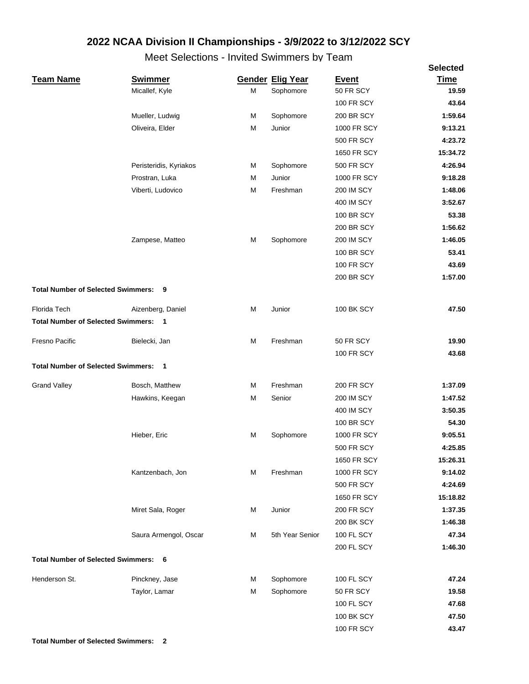|                                             |                        |   |                         |                   | <b>Selected</b> |
|---------------------------------------------|------------------------|---|-------------------------|-------------------|-----------------|
| <b>Team Name</b>                            | <b>Swimmer</b>         |   | <b>Gender Elig Year</b> | <b>Event</b>      | <b>Time</b>     |
|                                             | Micallef, Kyle         | M | Sophomore               | 50 FR SCY         | 19.59           |
|                                             |                        |   |                         | <b>100 FR SCY</b> | 43.64           |
|                                             | Mueller, Ludwig        | M | Sophomore               | 200 BR SCY        | 1:59.64         |
|                                             | Oliveira, Elder        | M | Junior                  | 1000 FR SCY       | 9:13.21         |
|                                             |                        |   |                         | <b>500 FR SCY</b> | 4:23.72         |
|                                             |                        |   |                         | 1650 FR SCY       | 15:34.72        |
|                                             | Peristeridis, Kyriakos | M | Sophomore               | <b>500 FR SCY</b> | 4:26.94         |
|                                             | Prostran, Luka         | M | Junior                  | 1000 FR SCY       | 9:18.28         |
|                                             | Viberti, Ludovico      | М | Freshman                | <b>200 IM SCY</b> | 1:48.06         |
|                                             |                        |   |                         | <b>400 IM SCY</b> | 3:52.67         |
|                                             |                        |   |                         | <b>100 BR SCY</b> | 53.38           |
|                                             |                        |   |                         | <b>200 BR SCY</b> | 1:56.62         |
|                                             | Zampese, Matteo        | M | Sophomore               | <b>200 IM SCY</b> | 1:46.05         |
|                                             |                        |   |                         | <b>100 BR SCY</b> | 53.41           |
|                                             |                        |   |                         | <b>100 FR SCY</b> | 43.69           |
|                                             |                        |   |                         | <b>200 BR SCY</b> | 1:57.00         |
| <b>Total Number of Selected Swimmers: 9</b> |                        |   |                         |                   |                 |
| Florida Tech                                |                        | M | Junior                  | <b>100 BK SCY</b> | 47.50           |
|                                             | Aizenberg, Daniel      |   |                         |                   |                 |
| <b>Total Number of Selected Swimmers: 1</b> |                        |   |                         |                   |                 |
| Fresno Pacific                              | Bielecki, Jan          | M | Freshman                | 50 FR SCY         | 19.90           |
|                                             |                        |   |                         | <b>100 FR SCY</b> | 43.68           |
| <b>Total Number of Selected Swimmers: 1</b> |                        |   |                         |                   |                 |
| <b>Grand Valley</b>                         | Bosch, Matthew         | M | Freshman                | <b>200 FR SCY</b> | 1:37.09         |
|                                             | Hawkins, Keegan        | M | Senior                  | <b>200 IM SCY</b> | 1:47.52         |
|                                             |                        |   |                         | 400 IM SCY        | 3:50.35         |
|                                             |                        |   |                         | <b>100 BR SCY</b> | 54.30           |
|                                             | Hieber, Eric           | M | Sophomore               | 1000 FR SCY       | 9:05.51         |
|                                             |                        |   |                         | <b>500 FR SCY</b> | 4:25.85         |
|                                             |                        |   |                         | 1650 FR SCY       | 15:26.31        |
|                                             | Kantzenbach, Jon       | M | Freshman                | 1000 FR SCY       | 9:14.02         |
|                                             |                        |   |                         | <b>500 FR SCY</b> | 4:24.69         |
|                                             |                        |   |                         | 1650 FR SCY       | 15:18.82        |
|                                             | Miret Sala, Roger      | M | Junior                  | <b>200 FR SCY</b> | 1:37.35         |
|                                             |                        |   |                         | 200 BK SCY        | 1:46.38         |
|                                             | Saura Armengol, Oscar  | M | 5th Year Senior         | 100 FL SCY        | 47.34           |
|                                             |                        |   |                         | 200 FL SCY        | 1:46.30         |
| <b>Total Number of Selected Swimmers:</b>   | 6                      |   |                         |                   |                 |
|                                             |                        |   |                         |                   |                 |
| Henderson St.                               | Pinckney, Jase         | М | Sophomore               | 100 FL SCY        | 47.24           |
|                                             | Taylor, Lamar          | M | Sophomore               | 50 FR SCY         | 19.58           |
|                                             |                        |   |                         | 100 FL SCY        | 47.68           |
|                                             |                        |   |                         | <b>100 BK SCY</b> | 47.50           |
|                                             |                        |   |                         | <b>100 FR SCY</b> | 43.47           |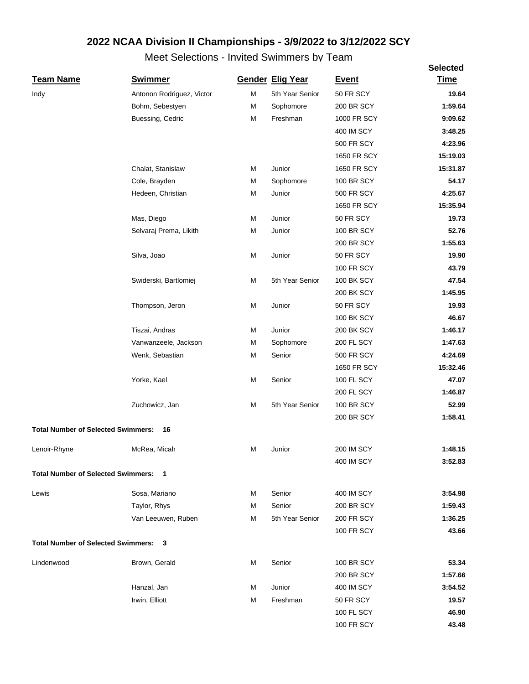|                                             |                           |   |                         |                   | <b>Selected</b> |
|---------------------------------------------|---------------------------|---|-------------------------|-------------------|-----------------|
| <b>Team Name</b>                            | <b>Swimmer</b>            |   | <b>Gender Elig Year</b> | <b>Event</b>      | <b>Time</b>     |
| Indy                                        | Antonon Rodriguez, Victor | М | 5th Year Senior         | 50 FR SCY         | 19.64           |
|                                             | Bohm, Sebestyen           | M | Sophomore               | <b>200 BR SCY</b> | 1:59.64         |
|                                             | Buessing, Cedric          | M | Freshman                | 1000 FR SCY       | 9:09.62         |
|                                             |                           |   |                         | 400 IM SCY        | 3:48.25         |
|                                             |                           |   |                         | <b>500 FR SCY</b> | 4:23.96         |
|                                             |                           |   |                         | 1650 FR SCY       | 15:19.03        |
|                                             | Chalat, Stanislaw         | M | Junior                  | 1650 FR SCY       | 15:31.87        |
|                                             | Cole, Brayden             | М | Sophomore               | <b>100 BR SCY</b> | 54.17           |
|                                             | Hedeen, Christian         | M | Junior                  | <b>500 FR SCY</b> | 4:25.67         |
|                                             |                           |   |                         | 1650 FR SCY       | 15:35.94        |
|                                             | Mas, Diego                | M | Junior                  | 50 FR SCY         | 19.73           |
|                                             | Selvaraj Prema, Likith    | M | Junior                  | <b>100 BR SCY</b> | 52.76           |
|                                             |                           |   |                         | <b>200 BR SCY</b> | 1:55.63         |
|                                             | Silva, Joao               | M | Junior                  | 50 FR SCY         | 19.90           |
|                                             |                           |   |                         | <b>100 FR SCY</b> | 43.79           |
|                                             | Swiderski, Bartlomiej     | M | 5th Year Senior         | <b>100 BK SCY</b> | 47.54           |
|                                             |                           |   |                         | 200 BK SCY        | 1:45.95         |
|                                             | Thompson, Jeron           | M | Junior                  | 50 FR SCY         | 19.93           |
|                                             |                           |   |                         | <b>100 BK SCY</b> | 46.67           |
|                                             | Tiszai, Andras            | M | Junior                  | <b>200 BK SCY</b> | 1:46.17         |
|                                             | Vanwanzeele, Jackson      | M | Sophomore               | 200 FL SCY        | 1:47.63         |
|                                             | Wenk, Sebastian           | M | Senior                  | <b>500 FR SCY</b> | 4:24.69         |
|                                             |                           |   |                         | 1650 FR SCY       | 15:32.46        |
|                                             | Yorke, Kael               | M | Senior                  | 100 FL SCY        | 47.07           |
|                                             |                           |   |                         | <b>200 FL SCY</b> | 1:46.87         |
|                                             | Zuchowicz, Jan            | M | 5th Year Senior         | <b>100 BR SCY</b> | 52.99           |
|                                             |                           |   |                         | 200 BR SCY        | 1:58.41         |
| <b>Total Number of Selected Swimmers:</b>   | 16                        |   |                         |                   |                 |
| Lenoir-Rhyne                                | McRea, Micah              |   | Junior                  | <b>200 IM SCY</b> | 1:48.15         |
|                                             |                           |   |                         | 400 IM SCY        | 3:52.83         |
| <b>Total Number of Selected Swimmers: 1</b> |                           |   |                         |                   |                 |
| Lewis                                       | Sosa, Mariano             | М | Senior                  | 400 IM SCY        | 3:54.98         |
|                                             | Taylor, Rhys              | М | Senior                  | <b>200 BR SCY</b> | 1:59.43         |
|                                             | Van Leeuwen, Ruben        | M | 5th Year Senior         | <b>200 FR SCY</b> | 1:36.25         |
|                                             |                           |   |                         | <b>100 FR SCY</b> | 43.66           |
| <b>Total Number of Selected Swimmers:</b>   | 3                         |   |                         |                   |                 |
| Lindenwood                                  | Brown, Gerald             | М | Senior                  | <b>100 BR SCY</b> | 53.34           |
|                                             |                           |   |                         | <b>200 BR SCY</b> | 1:57.66         |
|                                             | Hanzal, Jan               | М | Junior                  | 400 IM SCY        | 3:54.52         |
|                                             | Irwin, Elliott            | M | Freshman                | 50 FR SCY         | 19.57           |
|                                             |                           |   |                         | 100 FL SCY        | 46.90           |
|                                             |                           |   |                         | <b>100 FR SCY</b> | 43.48           |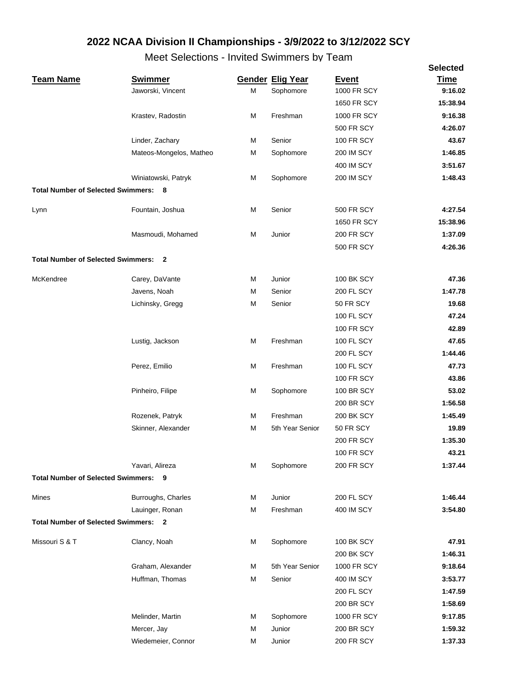|                                             |                         |   |                         |                    | <b>Selected</b> |
|---------------------------------------------|-------------------------|---|-------------------------|--------------------|-----------------|
| <b>Team Name</b>                            | <b>Swimmer</b>          |   | <b>Gender Elig Year</b> | <b>Event</b>       | <b>Time</b>     |
|                                             | Jaworski, Vincent       | M | Sophomore               | <b>1000 FR SCY</b> | 9:16.02         |
|                                             |                         |   |                         | 1650 FR SCY        | 15:38.94        |
|                                             | Krastev, Radostin       | М | Freshman                | 1000 FR SCY        | 9:16.38         |
|                                             |                         |   |                         | <b>500 FR SCY</b>  | 4:26.07         |
|                                             | Linder, Zachary         | M | Senior                  | <b>100 FR SCY</b>  | 43.67           |
|                                             | Mateos-Mongelos, Matheo | М | Sophomore               | <b>200 IM SCY</b>  | 1:46.85         |
|                                             |                         |   |                         | 400 IM SCY         | 3:51.67         |
|                                             | Winiatowski, Patryk     | M | Sophomore               | <b>200 IM SCY</b>  | 1:48.43         |
| <b>Total Number of Selected Swimmers:</b>   | - 8                     |   |                         |                    |                 |
| Lynn                                        | Fountain, Joshua        | M | Senior                  | <b>500 FR SCY</b>  | 4:27.54         |
|                                             |                         |   |                         | 1650 FR SCY        | 15:38.96        |
|                                             | Masmoudi, Mohamed       | М | Junior                  | <b>200 FR SCY</b>  | 1:37.09         |
|                                             |                         |   |                         | <b>500 FR SCY</b>  | 4:26.36         |
| <b>Total Number of Selected Swimmers:</b>   | $\overline{\mathbf{2}}$ |   |                         |                    |                 |
| McKendree                                   | Carey, DaVante          | М | Junior                  | <b>100 BK SCY</b>  | 47.36           |
|                                             | Javens, Noah            | М | Senior                  | <b>200 FL SCY</b>  | 1:47.78         |
|                                             | Lichinsky, Gregg        | M | Senior                  | 50 FR SCY          | 19.68           |
|                                             |                         |   |                         | <b>100 FL SCY</b>  | 47.24           |
|                                             |                         |   |                         | <b>100 FR SCY</b>  | 42.89           |
|                                             | Lustig, Jackson         | M | Freshman                | <b>100 FL SCY</b>  | 47.65           |
|                                             |                         |   |                         | <b>200 FL SCY</b>  | 1:44.46         |
|                                             | Perez, Emilio           | M | Freshman                | 100 FL SCY         | 47.73           |
|                                             |                         |   |                         | <b>100 FR SCY</b>  | 43.86           |
|                                             | Pinheiro, Filipe        | M | Sophomore               | <b>100 BR SCY</b>  | 53.02           |
|                                             |                         |   |                         | <b>200 BR SCY</b>  | 1:56.58         |
|                                             | Rozenek, Patryk         | M | Freshman                | <b>200 BK SCY</b>  | 1:45.49         |
|                                             | Skinner, Alexander      | М | 5th Year Senior         | 50 FR SCY          | 19.89           |
|                                             |                         |   |                         | <b>200 FR SCY</b>  | 1:35.30         |
|                                             |                         |   |                         | <b>100 FR SCY</b>  | 43.21           |
|                                             | Yavari, Alireza         | М | Sophomore               | <b>200 FR SCY</b>  | 1:37.44         |
| <b>Total Number of Selected Swimmers: 9</b> |                         |   |                         |                    |                 |
|                                             |                         |   |                         |                    |                 |
| Mines                                       | Burroughs, Charles      | М | Junior                  | <b>200 FL SCY</b>  | 1:46.44         |
|                                             | Lauinger, Ronan         | M | Freshman                | 400 IM SCY         | 3:54.80         |
| <b>Total Number of Selected Swimmers: 2</b> |                         |   |                         |                    |                 |
| Missouri S & T                              | Clancy, Noah            | М | Sophomore               | <b>100 BK SCY</b>  | 47.91           |
|                                             |                         |   |                         | <b>200 BK SCY</b>  | 1:46.31         |
|                                             | Graham, Alexander       | M | 5th Year Senior         | 1000 FR SCY        | 9:18.64         |
|                                             | Huffman, Thomas         | М | Senior                  | 400 IM SCY         | 3:53.77         |
|                                             |                         |   |                         | <b>200 FL SCY</b>  | 1:47.59         |
|                                             |                         |   |                         | <b>200 BR SCY</b>  | 1:58.69         |
|                                             | Melinder, Martin        | М | Sophomore               | 1000 FR SCY        | 9:17.85         |
|                                             | Mercer, Jay             | М | Junior                  | <b>200 BR SCY</b>  | 1:59.32         |
|                                             | Wiedemeier, Connor      | М | Junior                  | <b>200 FR SCY</b>  | 1:37.33         |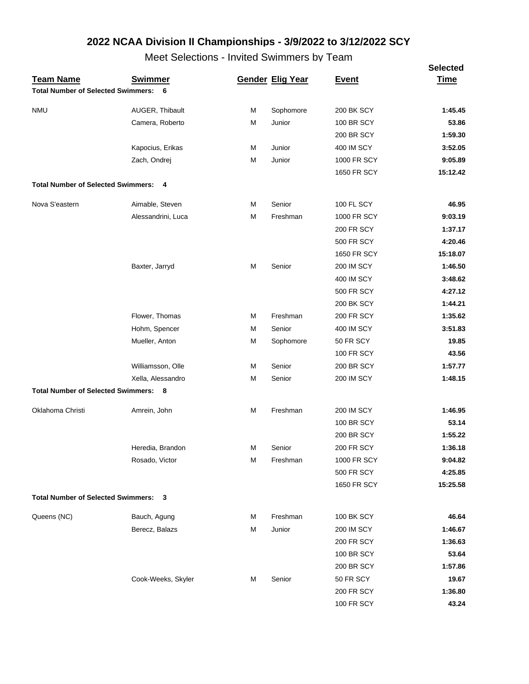|                                             | <b>OUIUUIIU</b>    |   | www.communicion         |                    | <b>Selected</b> |
|---------------------------------------------|--------------------|---|-------------------------|--------------------|-----------------|
| <b>Team Name</b>                            | <b>Swimmer</b>     |   | <b>Gender Elig Year</b> | <b>Event</b>       | <u>Time</u>     |
| <b>Total Number of Selected Swimmers:</b>   | 6                  |   |                         |                    |                 |
| <b>NMU</b>                                  | AUGER, Thibault    | М | Sophomore               | <b>200 BK SCY</b>  | 1:45.45         |
|                                             | Camera, Roberto    | M | Junior                  | <b>100 BR SCY</b>  | 53.86           |
|                                             |                    |   |                         | <b>200 BR SCY</b>  | 1:59.30         |
|                                             | Kapocius, Erikas   | М | Junior                  | <b>400 IM SCY</b>  | 3:52.05         |
|                                             | Zach, Ondrej       | М | Junior                  | 1000 FR SCY        | 9:05.89         |
|                                             |                    |   |                         | 1650 FR SCY        | 15:12.42        |
| <b>Total Number of Selected Swimmers: 4</b> |                    |   |                         |                    |                 |
| Nova S'eastern                              | Aimable, Steven    | М | Senior                  | 100 FL SCY         | 46.95           |
|                                             | Alessandrini, Luca | M | Freshman                | 1000 FR SCY        | 9:03.19         |
|                                             |                    |   |                         | <b>200 FR SCY</b>  | 1:37.17         |
|                                             |                    |   |                         | <b>500 FR SCY</b>  | 4:20.46         |
|                                             |                    |   |                         | <b>1650 FR SCY</b> | 15:18.07        |
|                                             | Baxter, Jarryd     | М | Senior                  | <b>200 IM SCY</b>  | 1:46.50         |
|                                             |                    |   |                         | 400 IM SCY         | 3:48.62         |
|                                             |                    |   |                         | <b>500 FR SCY</b>  | 4:27.12         |
|                                             |                    |   |                         | <b>200 BK SCY</b>  | 1:44.21         |
|                                             | Flower, Thomas     | М | Freshman                | <b>200 FR SCY</b>  | 1:35.62         |
|                                             | Hohm, Spencer      | М | Senior                  | 400 IM SCY         | 3:51.83         |
|                                             | Mueller, Anton     | M | Sophomore               | 50 FR SCY          | 19.85           |
|                                             |                    |   |                         | <b>100 FR SCY</b>  | 43.56           |
|                                             | Williamsson, Olle  | M | Senior                  | <b>200 BR SCY</b>  | 1:57.77         |
|                                             | Xella, Alessandro  | M | Senior                  | <b>200 IM SCY</b>  | 1:48.15         |
| <b>Total Number of Selected Swimmers: 8</b> |                    |   |                         |                    |                 |
| Oklahoma Christi                            | Amrein, John       | М | Freshman                | <b>200 IM SCY</b>  | 1:46.95         |
|                                             |                    |   |                         | <b>100 BR SCY</b>  | 53.14           |
|                                             |                    |   |                         | <b>200 BR SCY</b>  | 1:55.22         |
|                                             | Heredia, Brandon   | м | Senior                  | <b>200 FR SCY</b>  | 1:36.18         |
|                                             | Rosado, Victor     | M | Freshman                | 1000 FR SCY        | 9:04.82         |
|                                             |                    |   |                         | <b>500 FR SCY</b>  | 4:25.85         |
|                                             |                    |   |                         | 1650 FR SCY        | 15:25.58        |
| <b>Total Number of Selected Swimmers:</b>   | 3                  |   |                         |                    |                 |
| Queens (NC)                                 | Bauch, Agung       | М | Freshman                | <b>100 BK SCY</b>  | 46.64           |
|                                             | Berecz, Balazs     | M | Junior                  | <b>200 IM SCY</b>  | 1:46.67         |
|                                             |                    |   |                         | <b>200 FR SCY</b>  | 1:36.63         |
|                                             |                    |   |                         | 100 BR SCY         | 53.64           |
|                                             |                    |   |                         | 200 BR SCY         | 1:57.86         |
|                                             | Cook-Weeks, Skyler | М | Senior                  | 50 FR SCY          | 19.67           |
|                                             |                    |   |                         | 200 FR SCY         | 1:36.80         |
|                                             |                    |   |                         | <b>100 FR SCY</b>  | 43.24           |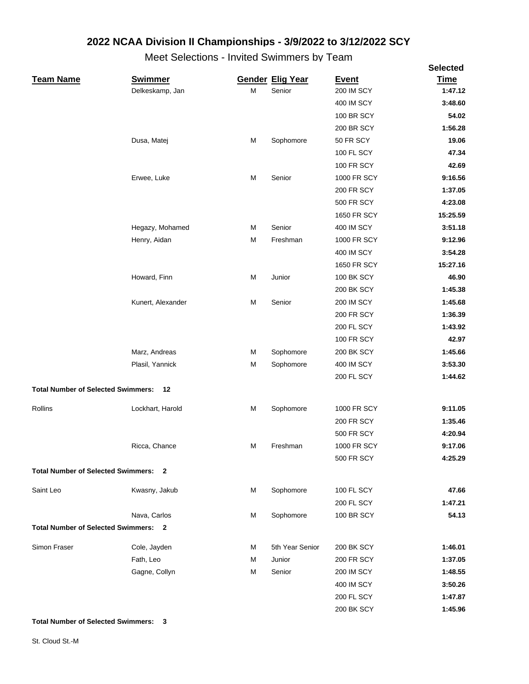Meet Selections - Invited Swimmers by Team

|                                             |                   |   |                         |                   | <b>Selected</b> |
|---------------------------------------------|-------------------|---|-------------------------|-------------------|-----------------|
| <b>Team Name</b>                            | <b>Swimmer</b>    |   | <b>Gender Elig Year</b> | <b>Event</b>      | <b>Time</b>     |
|                                             | Delkeskamp, Jan   | M | Senior                  | <b>200 IM SCY</b> | 1:47.12         |
|                                             |                   |   |                         | 400 IM SCY        | 3:48.60         |
|                                             |                   |   |                         | <b>100 BR SCY</b> | 54.02           |
|                                             |                   |   |                         | <b>200 BR SCY</b> | 1:56.28         |
|                                             | Dusa, Matej       | M | Sophomore               | 50 FR SCY         | 19.06           |
|                                             |                   |   |                         | 100 FL SCY        | 47.34           |
|                                             |                   |   |                         | <b>100 FR SCY</b> | 42.69           |
|                                             | Erwee, Luke       | M | Senior                  | 1000 FR SCY       | 9:16.56         |
|                                             |                   |   |                         | <b>200 FR SCY</b> | 1:37.05         |
|                                             |                   |   |                         | <b>500 FR SCY</b> | 4:23.08         |
|                                             |                   |   |                         | 1650 FR SCY       | 15:25.59        |
|                                             | Hegazy, Mohamed   | М | Senior                  | 400 IM SCY        | 3:51.18         |
|                                             | Henry, Aidan      | М | Freshman                | 1000 FR SCY       | 9:12.96         |
|                                             |                   |   |                         | 400 IM SCY        | 3:54.28         |
|                                             |                   |   |                         | 1650 FR SCY       | 15:27.16        |
|                                             | Howard, Finn      | M | Junior                  | <b>100 BK SCY</b> | 46.90           |
|                                             |                   |   |                         | <b>200 BK SCY</b> | 1:45.38         |
|                                             | Kunert, Alexander | M | Senior                  | <b>200 IM SCY</b> | 1:45.68         |
|                                             |                   |   |                         | <b>200 FR SCY</b> | 1:36.39         |
|                                             |                   |   |                         | <b>200 FL SCY</b> | 1:43.92         |
|                                             |                   |   |                         | <b>100 FR SCY</b> | 42.97           |
|                                             | Marz, Andreas     | М | Sophomore               | 200 BK SCY        | 1:45.66         |
|                                             | Plasil, Yannick   | М | Sophomore               | 400 IM SCY        | 3:53.30         |
|                                             |                   |   |                         | <b>200 FL SCY</b> | 1:44.62         |
| <b>Total Number of Selected Swimmers:</b>   | 12                |   |                         |                   |                 |
| Rollins                                     | Lockhart, Harold  | М | Sophomore               | 1000 FR SCY       | 9:11.05         |
|                                             |                   |   |                         | <b>200 FR SCY</b> | 1:35.46         |
|                                             |                   |   |                         | <b>500 FR SCY</b> | 4:20.94         |
|                                             | Ricca, Chance     | М | Freshman                | 1000 FR SCY       | 9:17.06         |
|                                             |                   |   |                         | 500 FR SCY        | 4:25.29         |
| <b>Total Number of Selected Swimmers: 2</b> |                   |   |                         |                   |                 |
| Saint Leo                                   | Kwasny, Jakub     | М | Sophomore               | <b>100 FL SCY</b> | 47.66           |
|                                             |                   |   |                         | <b>200 FL SCY</b> | 1:47.21         |
|                                             | Nava, Carlos      | M | Sophomore               | 100 BR SCY        | 54.13           |
| <b>Total Number of Selected Swimmers: 2</b> |                   |   |                         |                   |                 |
| Simon Fraser                                | Cole, Jayden      | М | 5th Year Senior         | 200 BK SCY        | 1:46.01         |
|                                             | Fath, Leo         | М | Junior                  | <b>200 FR SCY</b> | 1:37.05         |
|                                             | Gagne, Collyn     | М | Senior                  | <b>200 IM SCY</b> | 1:48.55         |
|                                             |                   |   |                         | 400 IM SCY        | 3:50.26         |
|                                             |                   |   |                         | 200 FL SCY        | 1:47.87         |
|                                             |                   |   |                         | 200 BK SCY        | 1:45.96         |
|                                             |                   |   |                         |                   |                 |

**Total Number of Selected Swimmers: 3**